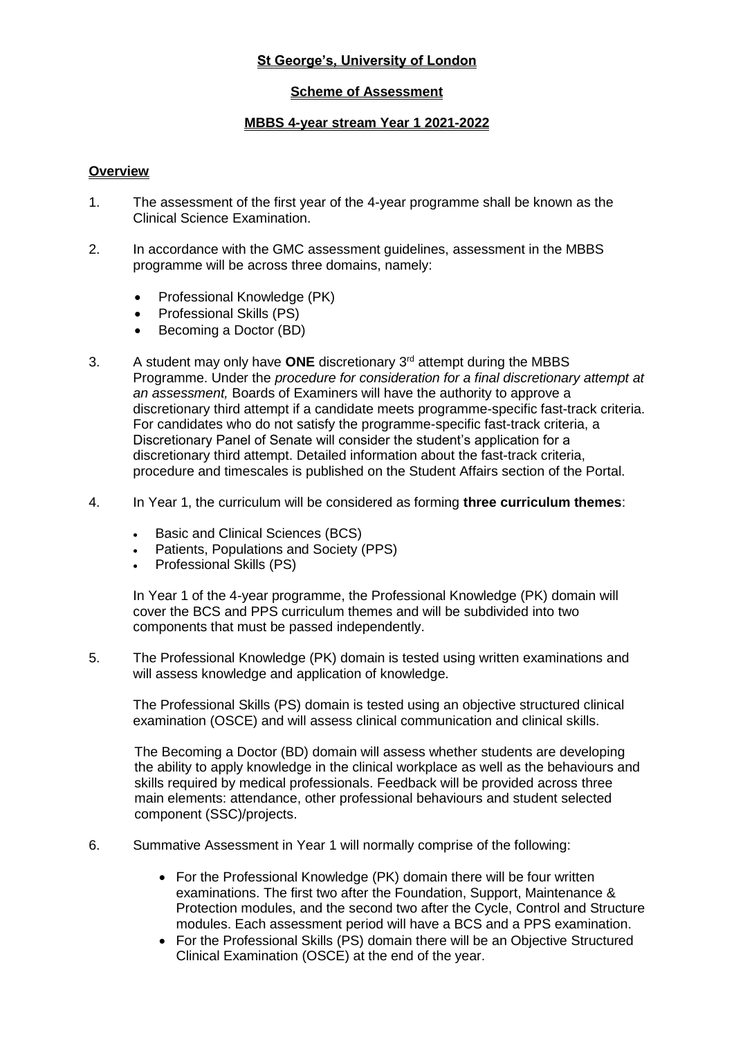## **St George's, University of London**

## **Scheme of Assessment**

#### **MBBS 4-year stream Year 1 2021-2022**

#### **Overview**

- 1. The assessment of the first year of the 4-year programme shall be known as the Clinical Science Examination.
- 2. In accordance with the GMC assessment guidelines, assessment in the MBBS programme will be across three domains, namely:
	- Professional Knowledge (PK)
	- Professional Skills (PS)
	- Becoming a Doctor (BD)
- 3. A student may only have **ONE** discretionary 3rd attempt during the MBBS Programme. Under the *procedure for consideration for a final discretionary attempt at an assessment,* Boards of Examiners will have the authority to approve a discretionary third attempt if a candidate meets programme-specific fast-track criteria. For candidates who do not satisfy the programme-specific fast-track criteria, a Discretionary Panel of Senate will consider the student's application for a discretionary third attempt. Detailed information about the fast-track criteria, procedure and timescales is published on the Student Affairs section of the Portal.
- 4. In Year 1, the curriculum will be considered as forming **three curriculum themes**:
	- Basic and Clinical Sciences (BCS)
	- Patients, Populations and Society (PPS)
	- Professional Skills (PS)

In Year 1 of the 4-year programme, the Professional Knowledge (PK) domain will cover the BCS and PPS curriculum themes and will be subdivided into two components that must be passed independently.

5. The Professional Knowledge (PK) domain is tested using written examinations and will assess knowledge and application of knowledge.

The Professional Skills (PS) domain is tested using an objective structured clinical examination (OSCE) and will assess clinical communication and clinical skills.

The Becoming a Doctor (BD) domain will assess whether students are developing the ability to apply knowledge in the clinical workplace as well as the behaviours and skills required by medical professionals. Feedback will be provided across three main elements: attendance, other professional behaviours and student selected component (SSC)/projects.

- 6. Summative Assessment in Year 1 will normally comprise of the following:
	- For the Professional Knowledge (PK) domain there will be four written examinations. The first two after the Foundation, Support, Maintenance & Protection modules, and the second two after the Cycle, Control and Structure modules. Each assessment period will have a BCS and a PPS examination.
	- For the Professional Skills (PS) domain there will be an Objective Structured Clinical Examination (OSCE) at the end of the year.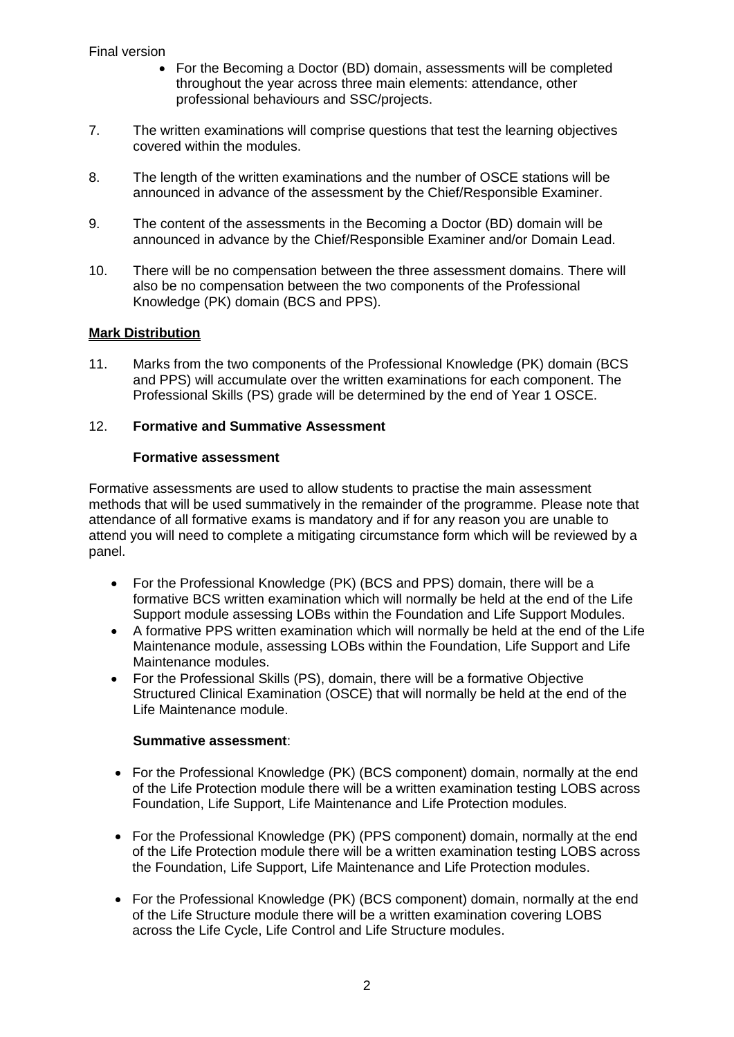- For the Becoming a Doctor (BD) domain, assessments will be completed throughout the year across three main elements: attendance, other professional behaviours and SSC/projects.
- 7. The written examinations will comprise questions that test the learning objectives covered within the modules.
- 8. The length of the written examinations and the number of OSCE stations will be announced in advance of the assessment by the Chief/Responsible Examiner.
- 9. The content of the assessments in the Becoming a Doctor (BD) domain will be announced in advance by the Chief/Responsible Examiner and/or Domain Lead.
- 10. There will be no compensation between the three assessment domains. There will also be no compensation between the two components of the Professional Knowledge (PK) domain (BCS and PPS).

## **Mark Distribution**

11. Marks from the two components of the Professional Knowledge (PK) domain (BCS and PPS) will accumulate over the written examinations for each component. The Professional Skills (PS) grade will be determined by the end of Year 1 OSCE.

## 12. **Formative and Summative Assessment**

## **Formative assessment**

Formative assessments are used to allow students to practise the main assessment methods that will be used summatively in the remainder of the programme. Please note that attendance of all formative exams is mandatory and if for any reason you are unable to attend you will need to complete a mitigating circumstance form which will be reviewed by a panel.

- For the Professional Knowledge (PK) (BCS and PPS) domain, there will be a formative BCS written examination which will normally be held at the end of the Life Support module assessing LOBs within the Foundation and Life Support Modules.
- A formative PPS written examination which will normally be held at the end of the Life Maintenance module, assessing LOBs within the Foundation, Life Support and Life Maintenance modules.
- For the Professional Skills (PS), domain, there will be a formative Objective Structured Clinical Examination (OSCE) that will normally be held at the end of the Life Maintenance module.

#### **Summative assessment**:

- For the Professional Knowledge (PK) (BCS component) domain, normally at the end of the Life Protection module there will be a written examination testing LOBS across Foundation, Life Support, Life Maintenance and Life Protection modules.
- For the Professional Knowledge (PK) (PPS component) domain, normally at the end of the Life Protection module there will be a written examination testing LOBS across the Foundation, Life Support, Life Maintenance and Life Protection modules.
- For the Professional Knowledge (PK) (BCS component) domain, normally at the end of the Life Structure module there will be a written examination covering LOBS across the Life Cycle, Life Control and Life Structure modules.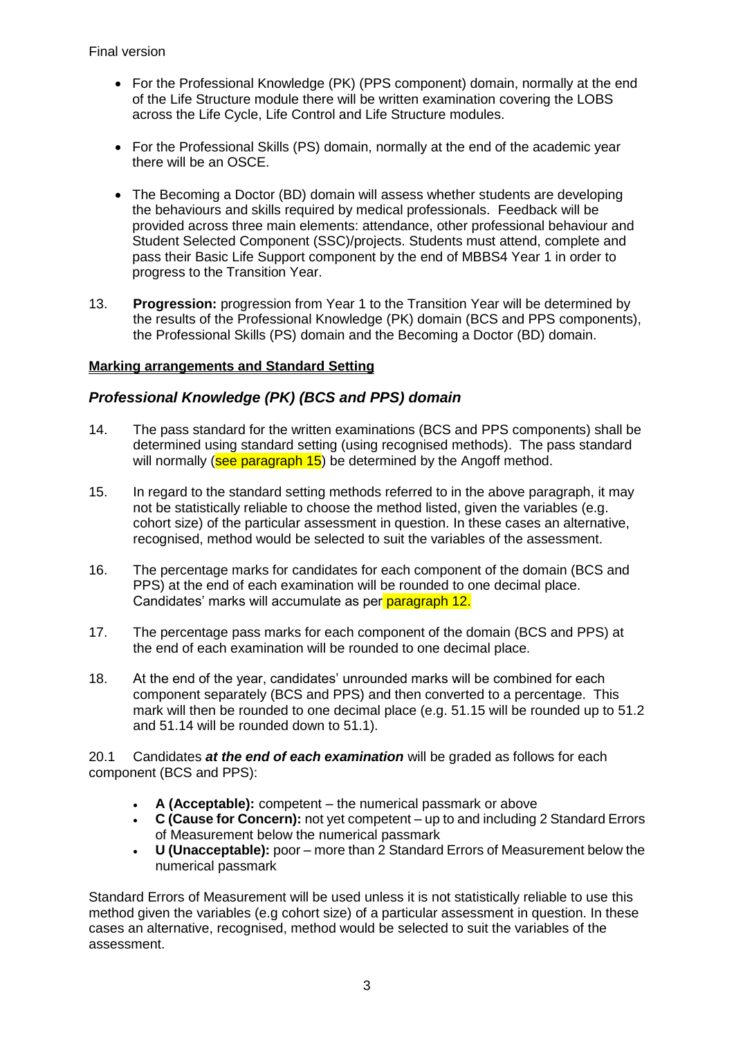- For the Professional Knowledge (PK) (PPS component) domain, normally at the end of the Life Structure module there will be written examination covering the LOBS across the Life Cycle, Life Control and Life Structure modules.
- For the Professional Skills (PS) domain, normally at the end of the academic year there will be an OSCE.
- The Becoming a Doctor (BD) domain will assess whether students are developing the behaviours and skills required by medical professionals. Feedback will be provided across three main elements: attendance, other professional behaviour and Student Selected Component (SSC)/projects. Students must attend, complete and pass their Basic Life Support component by the end of MBBS4 Year 1 in order to progress to the Transition Year.
- 13. **Progression:** progression from Year 1 to the Transition Year will be determined by the results of the Professional Knowledge (PK) domain (BCS and PPS components), the Professional Skills (PS) domain and the Becoming a Doctor (BD) domain.

## **Marking arrangements and Standard Setting**

# *Professional Knowledge (PK) (BCS and PPS) domain*

- 14. The pass standard for the written examinations (BCS and PPS components) shall be determined using standard setting (using recognised methods). The pass standard will normally (see paragraph 15) be determined by the Angoff method.
- 15. In regard to the standard setting methods referred to in the above paragraph, it may not be statistically reliable to choose the method listed, given the variables (e.g. cohort size) of the particular assessment in question. In these cases an alternative, recognised, method would be selected to suit the variables of the assessment.
- 16. The percentage marks for candidates for each component of the domain (BCS and PPS) at the end of each examination will be rounded to one decimal place. Candidates' marks will accumulate as per paragraph 12.
- 17. The percentage pass marks for each component of the domain (BCS and PPS) at the end of each examination will be rounded to one decimal place.
- 18. At the end of the year, candidates' unrounded marks will be combined for each component separately (BCS and PPS) and then converted to a percentage. This mark will then be rounded to one decimal place (e.g. 51.15 will be rounded up to 51.2 and 51.14 will be rounded down to 51.1).

20.1 Candidates *at the end of each examination* will be graded as follows for each component (BCS and PPS):

- **A (Acceptable):** competent the numerical passmark or above
- **C (Cause for Concern):** not yet competent up to and including 2 Standard Errors of Measurement below the numerical passmark
- **U (Unacceptable):** poor more than 2 Standard Errors of Measurement below the numerical passmark

Standard Errors of Measurement will be used unless it is not statistically reliable to use this method given the variables (e.g cohort size) of a particular assessment in question. In these cases an alternative, recognised, method would be selected to suit the variables of the assessment.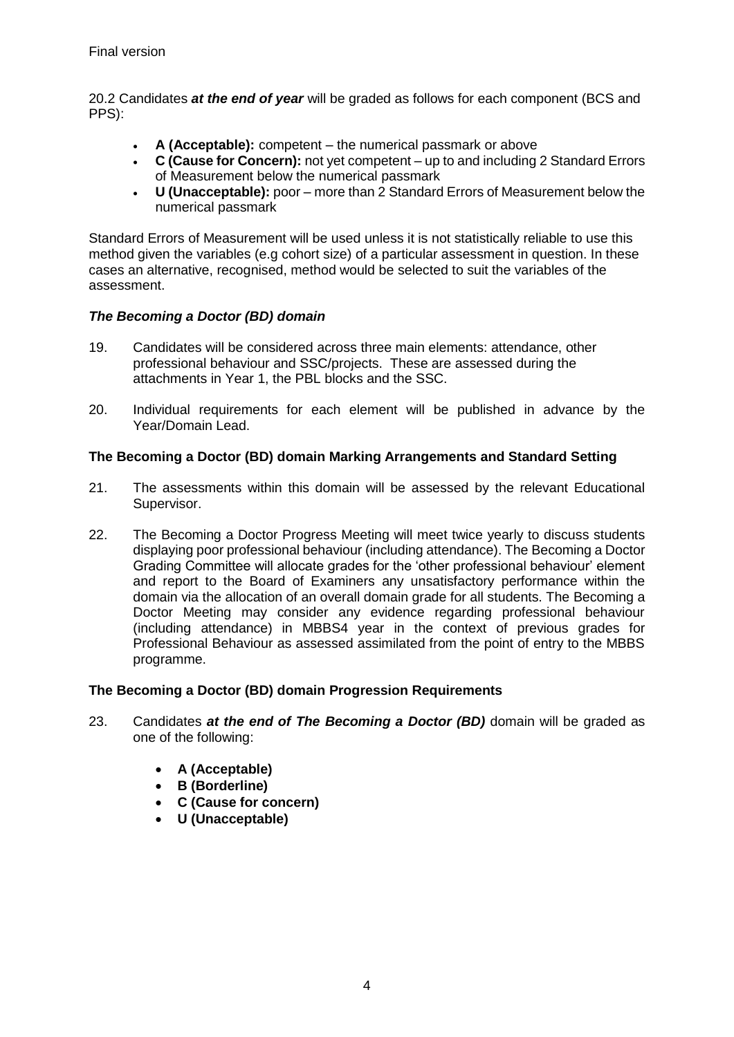20.2 Candidates *at the end of year* will be graded as follows for each component (BCS and PPS):

- **A (Acceptable):** competent the numerical passmark or above
- **C (Cause for Concern):** not yet competent up to and including 2 Standard Errors of Measurement below the numerical passmark
- **U (Unacceptable):** poor more than 2 Standard Errors of Measurement below the numerical passmark

Standard Errors of Measurement will be used unless it is not statistically reliable to use this method given the variables (e.g cohort size) of a particular assessment in question. In these cases an alternative, recognised, method would be selected to suit the variables of the assessment.

# *The Becoming a Doctor (BD) domain*

- 19. Candidates will be considered across three main elements: attendance, other professional behaviour and SSC/projects. These are assessed during the attachments in Year 1, the PBL blocks and the SSC.
- 20. Individual requirements for each element will be published in advance by the Year/Domain Lead.

## **The Becoming a Doctor (BD) domain Marking Arrangements and Standard Setting**

- 21. The assessments within this domain will be assessed by the relevant Educational Supervisor.
- 22. The Becoming a Doctor Progress Meeting will meet twice yearly to discuss students displaying poor professional behaviour (including attendance). The Becoming a Doctor Grading Committee will allocate grades for the 'other professional behaviour' element and report to the Board of Examiners any unsatisfactory performance within the domain via the allocation of an overall domain grade for all students. The Becoming a Doctor Meeting may consider any evidence regarding professional behaviour (including attendance) in MBBS4 year in the context of previous grades for Professional Behaviour as assessed assimilated from the point of entry to the MBBS programme.

# **The Becoming a Doctor (BD) domain Progression Requirements**

- 23. Candidates *at the end of The Becoming a Doctor (BD)* domain will be graded as one of the following:
	- **A (Acceptable)**
	- **B (Borderline)**
	- **C (Cause for concern)**
	- **U (Unacceptable)**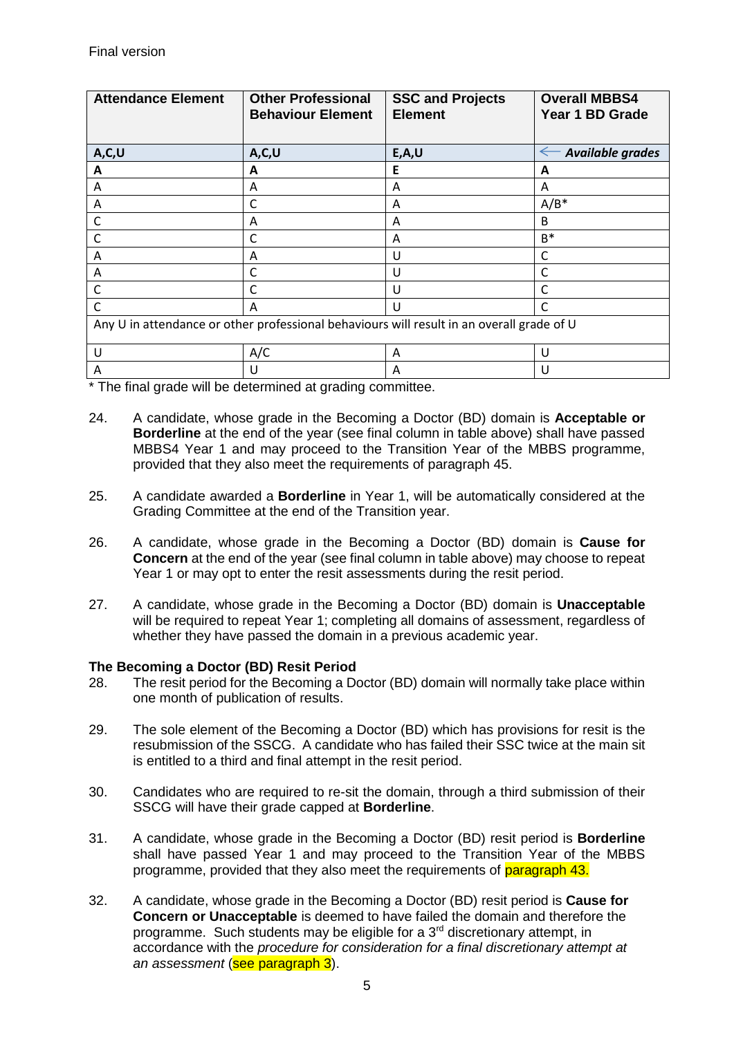| <b>Attendance Element</b>                                                                 | <b>Other Professional</b><br><b>Behaviour Element</b> | <b>SSC and Projects</b><br><b>Element</b> | <b>Overall MBBS4</b><br>Year 1 BD Grade |  |
|-------------------------------------------------------------------------------------------|-------------------------------------------------------|-------------------------------------------|-----------------------------------------|--|
| A, C, U                                                                                   | A, C, U                                               | E, A, U                                   | Available grades<br>$\leftarrow$        |  |
| A                                                                                         | A                                                     | Е                                         | A                                       |  |
| A                                                                                         | A                                                     | A                                         | A                                       |  |
| A                                                                                         | C                                                     | A                                         | $A/B^*$                                 |  |
| C                                                                                         | Α                                                     | A                                         | B                                       |  |
| C                                                                                         | C                                                     | A                                         | $B^*$                                   |  |
| Α                                                                                         | A                                                     | U                                         | C                                       |  |
| A                                                                                         | C                                                     | U                                         | C                                       |  |
| C                                                                                         | C                                                     | U                                         | $\mathsf{C}$                            |  |
| C                                                                                         | Α                                                     | $\mathsf{U}$                              | $\mathsf{C}$                            |  |
| Any U in attendance or other professional behaviours will result in an overall grade of U |                                                       |                                           |                                         |  |
| U                                                                                         | A/C                                                   | A                                         | U                                       |  |
| A                                                                                         | U                                                     | A                                         | U                                       |  |

\* The final grade will be determined at grading committee.

- 24. A candidate, whose grade in the Becoming a Doctor (BD) domain is **Acceptable or Borderline** at the end of the year (see final column in table above) shall have passed MBBS4 Year 1 and may proceed to the Transition Year of the MBBS programme, provided that they also meet the requirements of paragraph 45.
- 25. A candidate awarded a **Borderline** in Year 1, will be automatically considered at the Grading Committee at the end of the Transition year.
- 26. A candidate, whose grade in the Becoming a Doctor (BD) domain is **Cause for Concern** at the end of the year (see final column in table above) may choose to repeat Year 1 or may opt to enter the resit assessments during the resit period.
- 27. A candidate, whose grade in the Becoming a Doctor (BD) domain is **Unacceptable**  will be required to repeat Year 1; completing all domains of assessment, regardless of whether they have passed the domain in a previous academic year.

#### **The Becoming a Doctor (BD) Resit Period**

- 28. The resit period for the Becoming a Doctor (BD) domain will normally take place within one month of publication of results.
- 29. The sole element of the Becoming a Doctor (BD) which has provisions for resit is the resubmission of the SSCG. A candidate who has failed their SSC twice at the main sit is entitled to a third and final attempt in the resit period.
- 30. Candidates who are required to re-sit the domain, through a third submission of their SSCG will have their grade capped at **Borderline**.
- 31. A candidate, whose grade in the Becoming a Doctor (BD) resit period is **Borderline**  shall have passed Year 1 and may proceed to the Transition Year of the MBBS programme, provided that they also meet the requirements of paragraph 43.
- 32. A candidate, whose grade in the Becoming a Doctor (BD) resit period is **Cause for Concern or Unacceptable** is deemed to have failed the domain and therefore the programme. Such students may be eligible for a 3rd discretionary attempt, in accordance with the *procedure for consideration for a final discretionary attempt at an assessment* (see paragraph 3).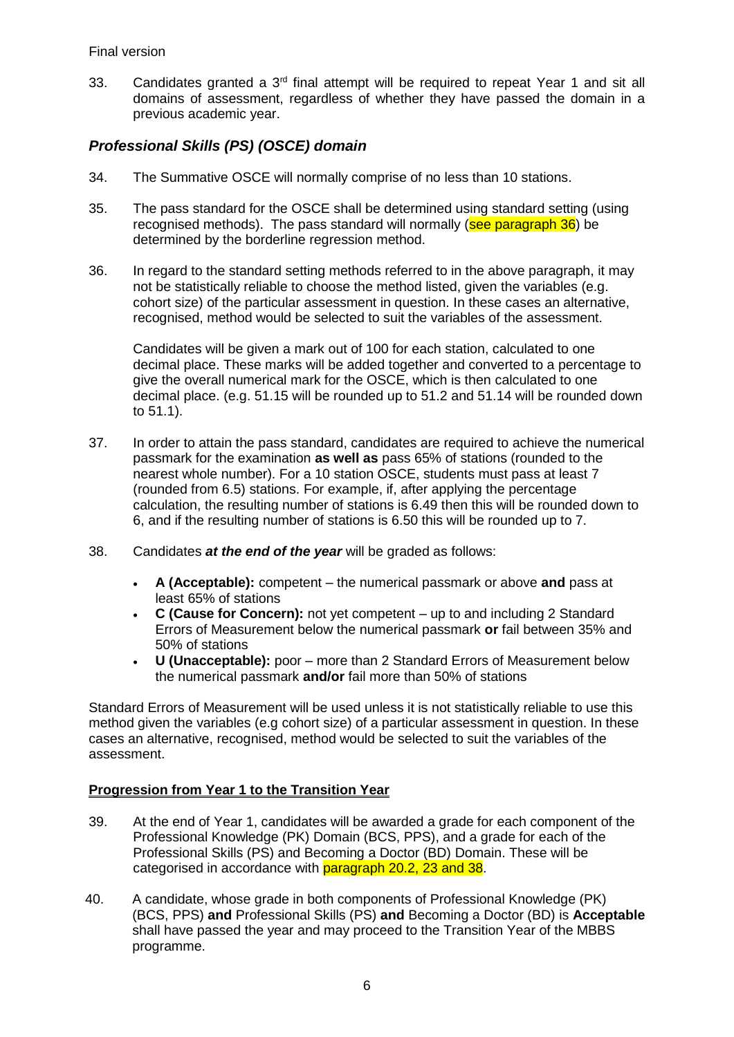33. Candidates granted a 3<sup>rd</sup> final attempt will be required to repeat Year 1 and sit all domains of assessment, regardless of whether they have passed the domain in a previous academic year.

# *Professional Skills (PS) (OSCE) domain*

- 34. The Summative OSCE will normally comprise of no less than 10 stations.
- 35. The pass standard for the OSCE shall be determined using standard setting (using recognised methods). The pass standard will normally (see paragraph 36) be determined by the borderline regression method.
- 36. In regard to the standard setting methods referred to in the above paragraph, it may not be statistically reliable to choose the method listed, given the variables (e.g. cohort size) of the particular assessment in question. In these cases an alternative, recognised, method would be selected to suit the variables of the assessment.

Candidates will be given a mark out of 100 for each station, calculated to one decimal place. These marks will be added together and converted to a percentage to give the overall numerical mark for the OSCE, which is then calculated to one decimal place. (e.g. 51.15 will be rounded up to 51.2 and 51.14 will be rounded down to 51.1).

- 37. In order to attain the pass standard, candidates are required to achieve the numerical passmark for the examination **as well as** pass 65% of stations (rounded to the nearest whole number). For a 10 station OSCE, students must pass at least 7 (rounded from 6.5) stations. For example, if, after applying the percentage calculation, the resulting number of stations is 6.49 then this will be rounded down to 6, and if the resulting number of stations is 6.50 this will be rounded up to 7.
- 38. Candidates *at the end of the year* will be graded as follows:
	- **A (Acceptable):** competent the numerical passmark or above **and** pass at least 65% of stations
	- **C (Cause for Concern):** not yet competent up to and including 2 Standard Errors of Measurement below the numerical passmark **or** fail between 35% and 50% of stations
	- **U (Unacceptable):** poor more than 2 Standard Errors of Measurement below the numerical passmark **and/or** fail more than 50% of stations

Standard Errors of Measurement will be used unless it is not statistically reliable to use this method given the variables (e.g cohort size) of a particular assessment in question. In these cases an alternative, recognised, method would be selected to suit the variables of the assessment.

#### **Progression from Year 1 to the Transition Year**

- 39. At the end of Year 1, candidates will be awarded a grade for each component of the Professional Knowledge (PK) Domain (BCS, PPS), and a grade for each of the Professional Skills (PS) and Becoming a Doctor (BD) Domain. These will be categorised in accordance with paragraph 20.2, 23 and 38.
- 40. A candidate, whose grade in both components of Professional Knowledge (PK) (BCS, PPS) **and** Professional Skills (PS) **and** Becoming a Doctor (BD) is **Acceptable** shall have passed the year and may proceed to the Transition Year of the MBBS programme.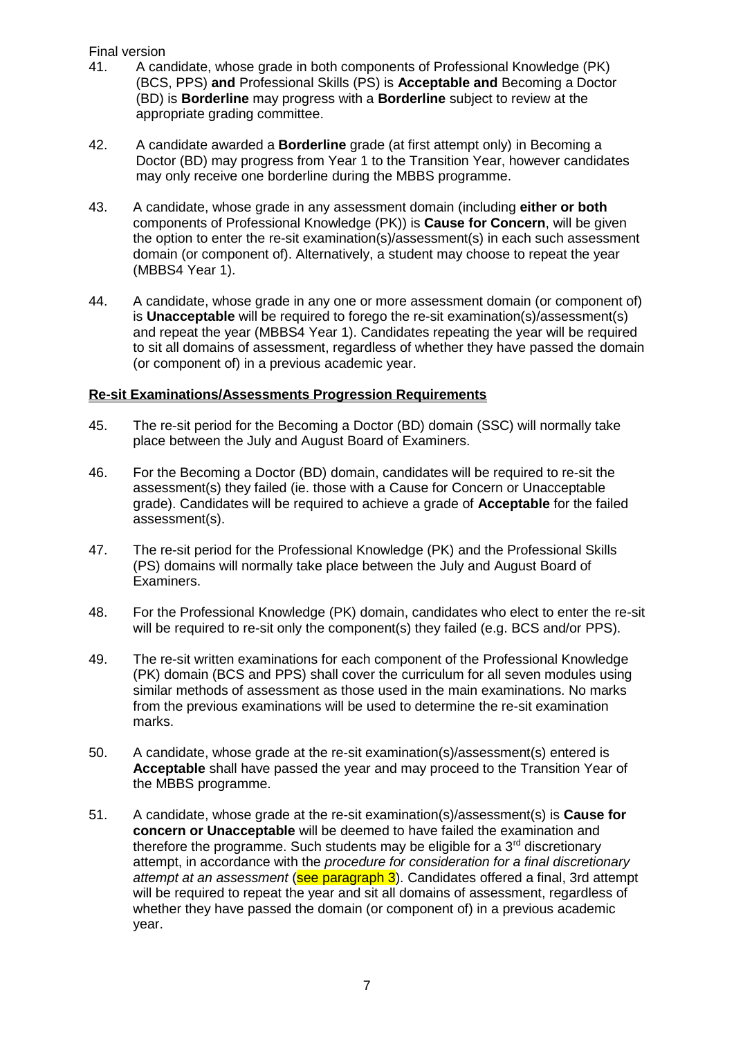## Final version

- 41. A candidate, whose grade in both components of Professional Knowledge (PK) (BCS, PPS) **and** Professional Skills (PS) is **Acceptable and** Becoming a Doctor (BD) is **Borderline** may progress with a **Borderline** subject to review at the appropriate grading committee.
- 42. A candidate awarded a **Borderline** grade (at first attempt only) in Becoming a Doctor (BD) may progress from Year 1 to the Transition Year, however candidates may only receive one borderline during the MBBS programme.
- 43. A candidate, whose grade in any assessment domain (including **either or both** components of Professional Knowledge (PK)) is **Cause for Concern**, will be given the option to enter the re-sit examination(s)/assessment(s) in each such assessment domain (or component of). Alternatively, a student may choose to repeat the year (MBBS4 Year 1).
- 44. A candidate, whose grade in any one or more assessment domain (or component of) is **Unacceptable** will be required to forego the re-sit examination(s)/assessment(s) and repeat the year (MBBS4 Year 1). Candidates repeating the year will be required to sit all domains of assessment, regardless of whether they have passed the domain (or component of) in a previous academic year.

## **Re-sit Examinations/Assessments Progression Requirements**

- 45. The re-sit period for the Becoming a Doctor (BD) domain (SSC) will normally take place between the July and August Board of Examiners.
- 46. For the Becoming a Doctor (BD) domain, candidates will be required to re-sit the assessment(s) they failed (ie. those with a Cause for Concern or Unacceptable grade). Candidates will be required to achieve a grade of **Acceptable** for the failed assessment(s).
- 47. The re-sit period for the Professional Knowledge (PK) and the Professional Skills (PS) domains will normally take place between the July and August Board of Examiners.
- 48. For the Professional Knowledge (PK) domain, candidates who elect to enter the re-sit will be required to re-sit only the component(s) they failed (e.g. BCS and/or PPS).
- 49. The re-sit written examinations for each component of the Professional Knowledge (PK) domain (BCS and PPS) shall cover the curriculum for all seven modules using similar methods of assessment as those used in the main examinations. No marks from the previous examinations will be used to determine the re-sit examination marks.
- 50. A candidate, whose grade at the re-sit examination(s)/assessment(s) entered is **Acceptable** shall have passed the year and may proceed to the Transition Year of the MBBS programme.
- 51. A candidate, whose grade at the re-sit examination(s)/assessment(s) is **Cause for concern or Unacceptable** will be deemed to have failed the examination and therefore the programme. Such students may be eligible for a  $3<sup>rd</sup>$  discretionary attempt, in accordance with the *procedure for consideration for a final discretionary attempt at an assessment* (see paragraph 3). Candidates offered a final, 3rd attempt will be required to repeat the year and sit all domains of assessment, regardless of whether they have passed the domain (or component of) in a previous academic year.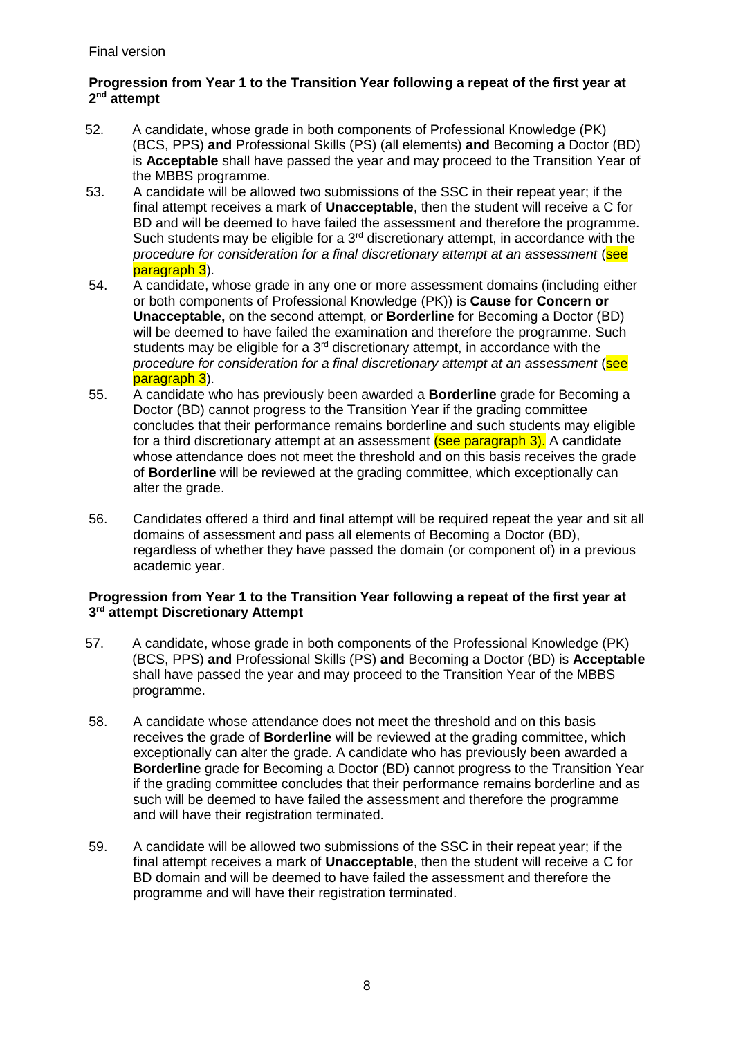## **Progression from Year 1 to the Transition Year following a repeat of the first year at 2 nd attempt**

- 52. A candidate, whose grade in both components of Professional Knowledge (PK) (BCS, PPS) **and** Professional Skills (PS) (all elements) **and** Becoming a Doctor (BD) is **Acceptable** shall have passed the year and may proceed to the Transition Year of the MBBS programme.
- 53. A candidate will be allowed two submissions of the SSC in their repeat year; if the final attempt receives a mark of **Unacceptable**, then the student will receive a C for BD and will be deemed to have failed the assessment and therefore the programme. Such students may be eligible for a  $3<sup>rd</sup>$  discretionary attempt, in accordance with the *procedure for consideration for a final discretionary attempt at an assessment* (see paragraph 3).
- 54. A candidate, whose grade in any one or more assessment domains (including either or both components of Professional Knowledge (PK)) is **Cause for Concern or Unacceptable,** on the second attempt, or **Borderline** for Becoming a Doctor (BD) will be deemed to have failed the examination and therefore the programme. Such students may be eligible for a  $3<sup>rd</sup>$  discretionary attempt, in accordance with the *procedure for consideration for a final discretionary attempt at an assessment* (see paragraph 3).
- 55. A candidate who has previously been awarded a **Borderline** grade for Becoming a Doctor (BD) cannot progress to the Transition Year if the grading committee concludes that their performance remains borderline and such students may eligible for a third discretionary attempt at an assessment (see paragraph 3). A candidate whose attendance does not meet the threshold and on this basis receives the grade of **Borderline** will be reviewed at the grading committee, which exceptionally can alter the grade.
- 56. Candidates offered a third and final attempt will be required repeat the year and sit all domains of assessment and pass all elements of Becoming a Doctor (BD), regardless of whether they have passed the domain (or component of) in a previous academic year.

#### **Progression from Year 1 to the Transition Year following a repeat of the first year at 3 rd attempt Discretionary Attempt**

- 57. A candidate, whose grade in both components of the Professional Knowledge (PK) (BCS, PPS) **and** Professional Skills (PS) **and** Becoming a Doctor (BD) is **Acceptable** shall have passed the year and may proceed to the Transition Year of the MBBS programme.
- 58. A candidate whose attendance does not meet the threshold and on this basis receives the grade of **Borderline** will be reviewed at the grading committee, which exceptionally can alter the grade. A candidate who has previously been awarded a **Borderline** grade for Becoming a Doctor (BD) cannot progress to the Transition Year if the grading committee concludes that their performance remains borderline and as such will be deemed to have failed the assessment and therefore the programme and will have their registration terminated.
- 59. A candidate will be allowed two submissions of the SSC in their repeat year; if the final attempt receives a mark of **Unacceptable**, then the student will receive a C for BD domain and will be deemed to have failed the assessment and therefore the programme and will have their registration terminated.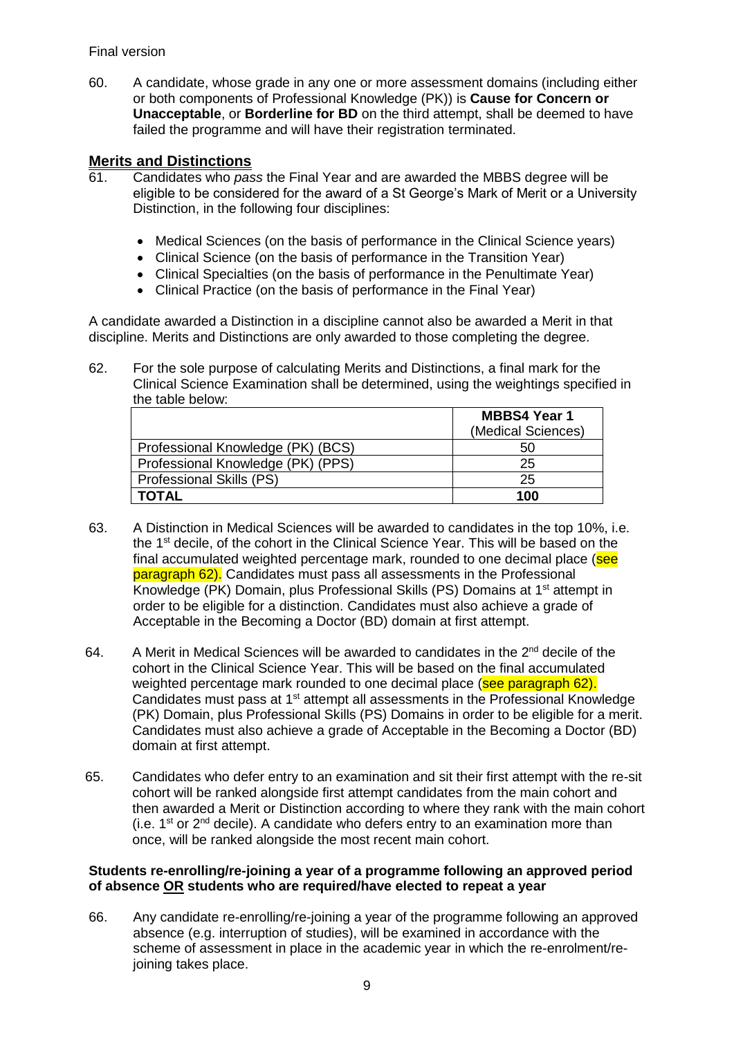## Final version

60. A candidate, whose grade in any one or more assessment domains (including either or both components of Professional Knowledge (PK)) is **Cause for Concern or Unacceptable**, or **Borderline for BD** on the third attempt, shall be deemed to have failed the programme and will have their registration terminated.

# **Merits and Distinctions**

- 61. Candidates who *pass* the Final Year and are awarded the MBBS degree will be eligible to be considered for the award of a St George's Mark of Merit or a University Distinction, in the following four disciplines:
	- Medical Sciences (on the basis of performance in the Clinical Science years)
	- Clinical Science (on the basis of performance in the Transition Year)
	- Clinical Specialties (on the basis of performance in the Penultimate Year)
	- Clinical Practice (on the basis of performance in the Final Year)

A candidate awarded a Distinction in a discipline cannot also be awarded a Merit in that discipline. Merits and Distinctions are only awarded to those completing the degree.

62. For the sole purpose of calculating Merits and Distinctions, a final mark for the Clinical Science Examination shall be determined, using the weightings specified in the table below:

|                                   | <b>MBBS4 Year 1</b> |
|-----------------------------------|---------------------|
|                                   | (Medical Sciences)  |
| Professional Knowledge (PK) (BCS) | 50                  |
| Professional Knowledge (PK) (PPS) | 25                  |
| Professional Skills (PS)          | 25                  |
| <b>TOTAL</b>                      | 100                 |

- 63. A Distinction in Medical Sciences will be awarded to candidates in the top 10%, i.e. the 1st decile, of the cohort in the Clinical Science Year. This will be based on the final accumulated weighted percentage mark, rounded to one decimal place (see paragraph 62). Candidates must pass all assessments in the Professional Knowledge (PK) Domain, plus Professional Skills (PS) Domains at 1st attempt in order to be eligible for a distinction. Candidates must also achieve a grade of Acceptable in the Becoming a Doctor (BD) domain at first attempt.
- 64. A Merit in Medical Sciences will be awarded to candidates in the 2<sup>nd</sup> decile of the cohort in the Clinical Science Year. This will be based on the final accumulated weighted percentage mark rounded to one decimal place (see paragraph 62). Candidates must pass at 1<sup>st</sup> attempt all assessments in the Professional Knowledge (PK) Domain, plus Professional Skills (PS) Domains in order to be eligible for a merit. Candidates must also achieve a grade of Acceptable in the Becoming a Doctor (BD) domain at first attempt.
- 65. Candidates who defer entry to an examination and sit their first attempt with the re-sit cohort will be ranked alongside first attempt candidates from the main cohort and then awarded a Merit or Distinction according to where they rank with the main cohort (i.e.  $1^{st}$  or  $2^{nd}$  decile). A candidate who defers entry to an examination more than once, will be ranked alongside the most recent main cohort.

#### **Students re-enrolling/re-joining a year of a programme following an approved period of absence OR students who are required/have elected to repeat a year**

66. Any candidate re-enrolling/re-joining a year of the programme following an approved absence (e.g. interruption of studies), will be examined in accordance with the scheme of assessment in place in the academic year in which the re-enrolment/rejoining takes place.